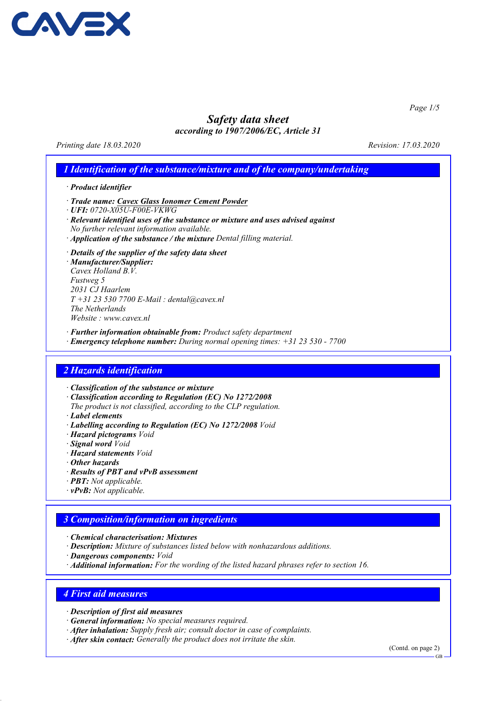

Page 1/5

# Safety data sheet

according to 1907/2006/EC, Article 31

Printing date 18.03.2020 Revision: 17.03.2020

# 1 Identification of the substance/mixture and of the company/undertaking

· Product identifier

- · Trade name: Cavex Glass Ionomer Cement Powder
- · UFI: 0720-X05U-F00E-VKWG
- · Relevant identified uses of the substance or mixture and uses advised against No further relevant information available.
- · Application of the substance / the mixture Dental filling material.
- · Details of the supplier of the safety data sheet

· Manufacturer/Supplier: Cavex Holland B.V. Fustweg 5 2031 CJ Haarlem  $T + 31 23 530 7700 E$ -Mail: dental@cavex.nl The Netherlands Website : www.cavex.nl

· Further information obtainable from: Product safety department

· Emergency telephone number: During normal opening times: +31 23 530 - 7700

# 2 Hazards identification

· Classification of the substance or mixture

- · Classification according to Regulation (EC) No 1272/2008
- The product is not classified, according to the CLP regulation.
- · Label elements
- · Labelling according to Regulation (EC) No 1272/2008 Void
- · Hazard pictograms Void
- · Signal word Void
- · Hazard statements Void
- · Other hazards
- · Results of PBT and vPvB assessment
- · PBT: Not applicable.
- $\cdot$  **vPvB:** Not applicable.

# 3 Composition/information on ingredients

- · Chemical characterisation: Mixtures
- · Description: Mixture of substances listed below with nonhazardous additions.
- · Dangerous components: Void
- · Additional information: For the wording of the listed hazard phrases refer to section 16.

# 4 First aid measures

- · Description of first aid measures
- · General information: No special measures required.
- · After inhalation: Supply fresh air; consult doctor in case of complaints.
- · After skin contact: Generally the product does not irritate the skin.

(Contd. on page 2)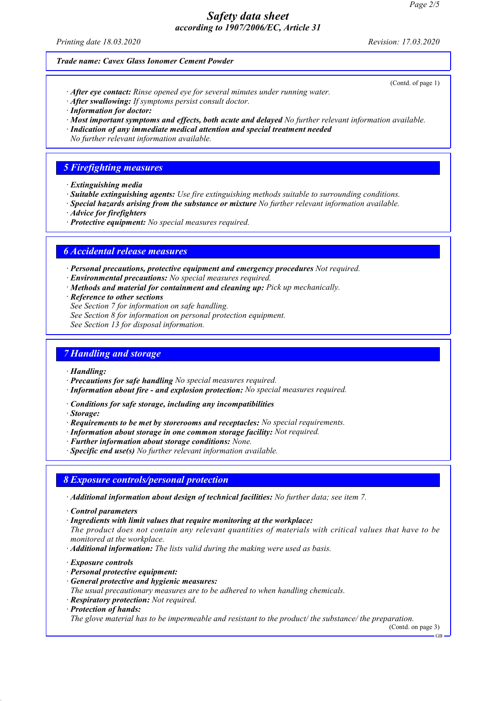Printing date 18.03.2020 Revision: 17.03.2020

(Contd. of page 1)

#### Trade name: Cavex Glass Ionomer Cement Powder

- · After eye contact: Rinse opened eye for several minutes under running water.
- · After swallowing: If symptoms persist consult doctor.
- · Information for doctor:
- · Most important symptoms and effects, both acute and delayed No further relevant information available.
- · Indication of any immediate medical attention and special treatment needed
- No further relevant information available.

# 5 Firefighting measures

- · Extinguishing media
- · Suitable extinguishing agents: Use fire extinguishing methods suitable to surrounding conditions.
- · Special hazards arising from the substance or mixture No further relevant information available.
- · Advice for firefighters
- · Protective equipment: No special measures required.

# 6 Accidental release measures

· Personal precautions, protective equipment and emergency procedures Not required.

- · Environmental precautions: No special measures required.
- · Methods and material for containment and cleaning up: Pick up mechanically.
- · Reference to other sections
- See Section 7 for information on safe handling.
- See Section 8 for information on personal protection equipment.
- See Section 13 for disposal information.

# 7 Handling and storage

- · Handling:
- · Precautions for safe handling No special measures required.
- · Information about fire and explosion protection: No special measures required.
- · Conditions for safe storage, including any incompatibilities
- · Storage:
- · Requirements to be met by storerooms and receptacles: No special requirements.
- · Information about storage in one common storage facility: Not required.
- · Further information about storage conditions: None.
- · Specific end use(s) No further relevant information available.

# 8 Exposure controls/personal protection

- · Additional information about design of technical facilities: No further data; see item 7.
- · Control parameters
- · Ingredients with limit values that require monitoring at the workplace:
- The product does not contain any relevant quantities of materials with critical values that have to be monitored at the workplace.
- · Additional information: The lists valid during the making were used as basis.
- · Exposure controls
- · Personal protective equipment:
- · General protective and hygienic measures:

The usual precautionary measures are to be adhered to when handling chemicals.

- · Respiratory protection: Not required.
- · Protection of hands:

The glove material has to be impermeable and resistant to the product/ the substance/ the preparation.

(Contd. on page 3)

GB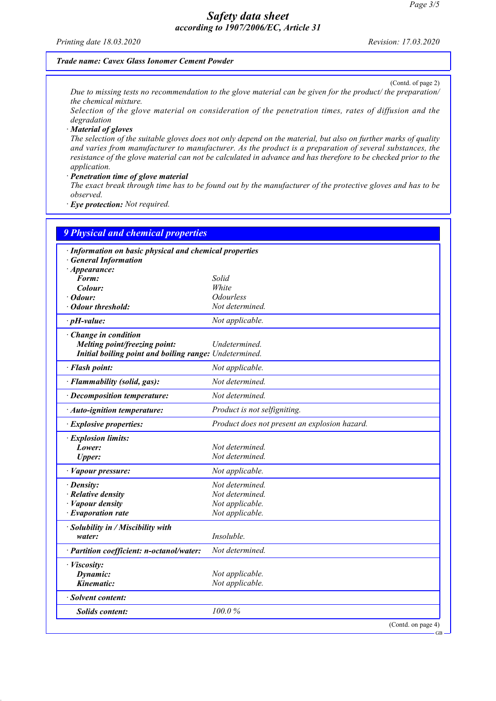Printing date 18.03.2020 Revision: 17.03.2020

#### Trade name: Cavex Glass Ionomer Cement Powder

(Contd. of page 2) Due to missing tests no recommendation to the glove material can be given for the product/ the preparation/ the chemical mixture.

Selection of the glove material on consideration of the penetration times, rates of diffusion and the degradation

· Material of gloves

The selection of the suitable gloves does not only depend on the material, but also on further marks of quality and varies from manufacturer to manufacturer. As the product is a preparation of several substances, the resistance of the glove material can not be calculated in advance and has therefore to be checked prior to the application.

· Penetration time of glove material

The exact break through time has to be found out by the manufacturer of the protective gloves and has to be observed.

· Eye protection: Not required.

| 9 Physical and chemical properties                      |                                               |  |
|---------------------------------------------------------|-----------------------------------------------|--|
| · Information on basic physical and chemical properties |                                               |  |
| <b>General Information</b>                              |                                               |  |
| $\cdot$ Appearance:                                     |                                               |  |
| Form:<br>Colour:                                        | Solid<br>White                                |  |
| Odour:                                                  | <i><b>Odourless</b></i>                       |  |
| <b>Odour threshold:</b>                                 | Not determined.                               |  |
| $\cdot$ pH-value:                                       | Not applicable.                               |  |
|                                                         |                                               |  |
| Change in condition<br>Melting point/freezing point:    | Undetermined.                                 |  |
| Initial boiling point and boiling range: Undetermined.  |                                               |  |
| · Flash point:                                          | Not applicable.                               |  |
|                                                         | Not determined.                               |  |
| · Flammability (solid, gas):                            |                                               |  |
| · Decomposition temperature:                            | Not determined.                               |  |
| · Auto-ignition temperature:                            | Product is not selfigniting.                  |  |
| · Explosive properties:                                 | Product does not present an explosion hazard. |  |
| · Explosion limits:                                     |                                               |  |
| Lower:                                                  | Not determined.                               |  |
| <b>Upper:</b>                                           | Not determined.                               |  |
| · Vapour pressure:                                      | Not applicable.                               |  |
| $\cdot$ Density:                                        | Not determined.                               |  |
| · Relative density                                      | Not determined.                               |  |
| · Vapour density                                        | Not applicable.                               |  |
| $\cdot$ Evaporation rate                                | Not applicable.                               |  |
| · Solubility in / Miscibility with                      |                                               |  |
| water:                                                  | Insoluble.                                    |  |
| · Partition coefficient: n-octanol/water:               | Not determined.                               |  |
| · Viscosity:                                            |                                               |  |
| Dynamic:                                                | Not applicable.                               |  |
| Kinematic:                                              | Not applicable.                               |  |
| · Solvent content:                                      |                                               |  |
| <b>Solids content:</b>                                  | 100.0%                                        |  |
|                                                         | (Contd. on page 4)                            |  |

GB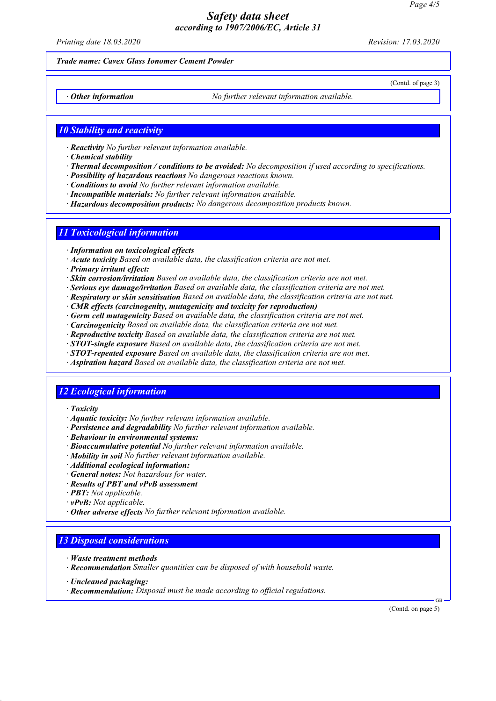Printing date 18.03.2020 Revision: 17.03.2020

(Contd. of page 3)

#### Trade name: Cavex Glass Ionomer Cement Powder

 $\cdot$  Other information  $\cdot$  No further relevant information available.

# **10 Stability and reactivity**

- · Reactivity No further relevant information available.
- · Chemical stability
- · Thermal decomposition / conditions to be avoided: No decomposition if used according to specifications.
- · Possibility of hazardous reactions No dangerous reactions known.
- · Conditions to avoid No further relevant information available.
- · Incompatible materials: No further relevant information available.
- · Hazardous decomposition products: No dangerous decomposition products known.

# 11 Toxicological information

- · Information on toxicological effects
- · Acute toxicity Based on available data, the classification criteria are not met.
- · Primary irritant effect:
- · Skin corrosion/irritation Based on available data, the classification criteria are not met.
- · Serious eye damage/irritation Based on available data, the classification criteria are not met.
- · Respiratory or skin sensitisation Based on available data, the classification criteria are not met.
- · CMR effects (carcinogenity, mutagenicity and toxicity for reproduction)
- · Germ cell mutagenicity Based on available data, the classification criteria are not met.
- · Carcinogenicity Based on available data, the classification criteria are not met.
- · Reproductive toxicity Based on available data, the classification criteria are not met.
- $\cdot$  **STOT-single exposure** Based on available data, the classification criteria are not met.
- $\cdot$  **STOT-repeated exposure** Based on available data, the classification criteria are not met.
- · Aspiration hazard Based on available data, the classification criteria are not met.

#### 12 Ecological information

- · Toxicity
- · Aquatic toxicity: No further relevant information available.
- · Persistence and degradability No further relevant information available.
- · Behaviour in environmental systems:
- · Bioaccumulative potential No further relevant information available.
- · Mobility in soil No further relevant information available.
- · Additional ecological information:
- · General notes: Not hazardous for water.
- · Results of PBT and vPvB assessment
- · PBT: Not applicable.
- $\cdot$  **vPvB:** Not applicable.
- · Other adverse effects No further relevant information available.

# 13 Disposal considerations

- · Waste treatment methods
- · Recommendation Smaller quantities can be disposed of with household waste.
- · Uncleaned packaging:
- · Recommendation: Disposal must be made according to official regulations.

(Contd. on page 5)

GB